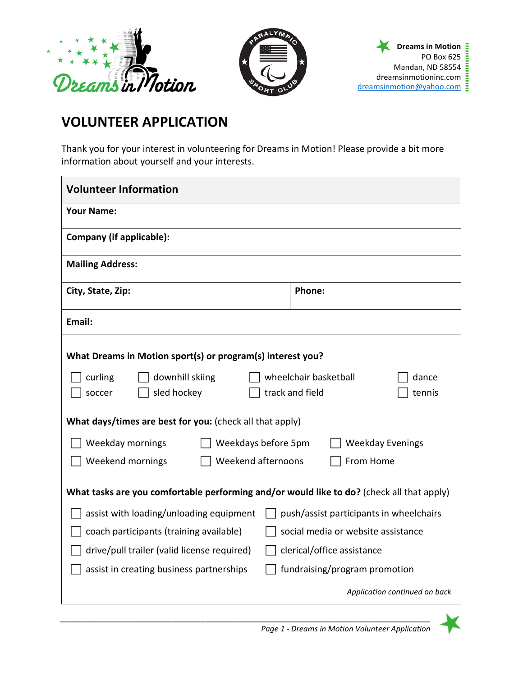



## **VOLUNTEER APPLICATION**

Thank you for your interest in volunteering for Dreams in Motion! Please provide a bit more information about yourself and your interests.

| <b>Volunteer Information</b>                                                              |                               |                               |  |
|-------------------------------------------------------------------------------------------|-------------------------------|-------------------------------|--|
| <b>Your Name:</b>                                                                         |                               |                               |  |
| Company (if applicable):                                                                  |                               |                               |  |
| <b>Mailing Address:</b>                                                                   |                               |                               |  |
| City, State, Zip:                                                                         | <b>Phone:</b>                 |                               |  |
| Email:                                                                                    |                               |                               |  |
| What Dreams in Motion sport(s) or program(s) interest you?                                |                               |                               |  |
| wheelchair basketball<br>curling<br>downhill skiing<br>dance                              |                               |                               |  |
| sled hockey<br>track and field<br>tennis<br>soccer                                        |                               |                               |  |
| What days/times are best for you: (check all that apply)                                  |                               |                               |  |
| Weekday mornings<br>Weekdays before 5pm<br><b>Weekday Evenings</b>                        |                               |                               |  |
| Weekend mornings<br>Weekend afternoons<br>From Home                                       |                               |                               |  |
| What tasks are you comfortable performing and/or would like to do? (check all that apply) |                               |                               |  |
| assist with loading/unloading equipment<br>push/assist participants in wheelchairs        |                               |                               |  |
| social media or website assistance<br>coach participants (training available)             |                               |                               |  |
| drive/pull trailer (valid license required)<br>clerical/office assistance                 |                               |                               |  |
| assist in creating business partnerships                                                  | fundraising/program promotion |                               |  |
|                                                                                           |                               | Application continued on back |  |

*\_\_\_\_\_\_\_\_\_\_\_\_\_\_\_\_\_\_\_\_\_\_\_\_\_\_\_\_\_\_\_\_\_\_\_\_\_\_\_\_\_\_\_\_\_\_\_\_\_\_\_\_\_\_\_\_\_\_\_\_\_\_\_\_\_\_\_\_\_\_\_\_\_\_\_\_\_\_\_*